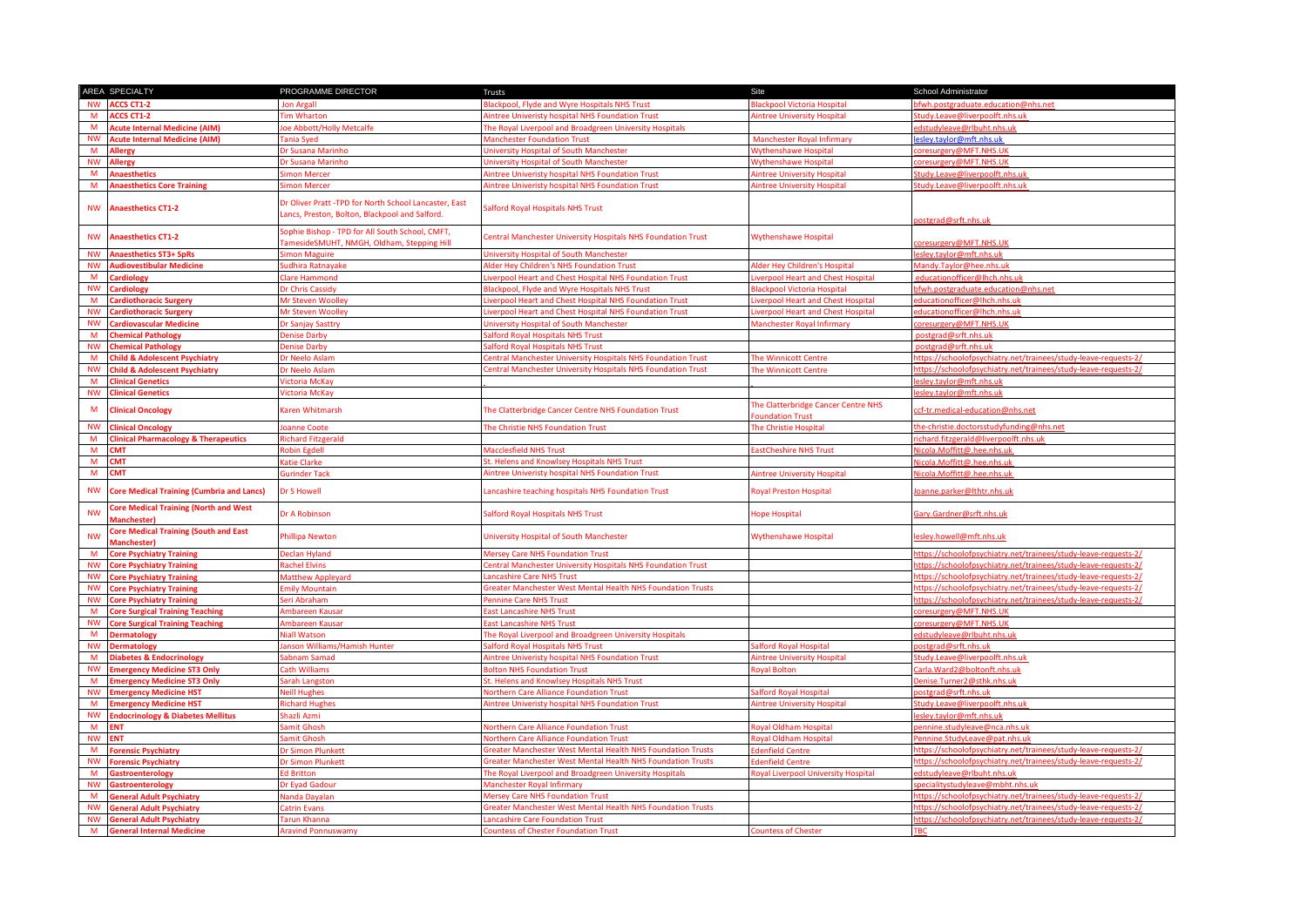|           | AREA SPECIALTY                                                     | PROGRAMME DIRECTOR                                                                                     | Trusts                                                             | Site                                                   | School Administrator                                            |
|-----------|--------------------------------------------------------------------|--------------------------------------------------------------------------------------------------------|--------------------------------------------------------------------|--------------------------------------------------------|-----------------------------------------------------------------|
| <b>NW</b> | <b>ACCS CT1-2</b>                                                  | Ion Argall                                                                                             | <b>Blackpool, Flyde and Wyre Hospitals NHS Trust</b>               | <b>Blackpool Victoria Hospital</b>                     | bfwh.postgraduate.education@nhs.net                             |
| M         | CCS CT1-2                                                          | im Wharton                                                                                             | <b>Nintree Univeristy hospital NHS Foundation Trust</b>            | <b>Nintree University Hospital</b>                     | Study.Leave@liverpoolft.nhs.uk                                  |
| M         | <b>Acute Internal Medicine (AIM)</b>                               | oe Abbott/Holly Metcalfe                                                                               | The Royal Liverpool and Broadgreen University Hospitals            |                                                        | edstudyleave@rlbuht.nhs.uk                                      |
| <b>NW</b> | <b>Acute Internal Medicine (AIM)</b>                               | ania Sved                                                                                              | <b>Manchester Foundation Trust</b>                                 | <b>Manchester Royal Infirmary</b>                      | lesley.taylor@mft.nhs.uk                                        |
| M         | <b>Allergy</b>                                                     | r Susana Marinho                                                                                       | <b>Jniversity Hospital of South Manchester</b>                     | <b>Vythenshawe Hospital</b>                            | oresurgery@MFT.NHS.UK                                           |
| <b>NW</b> | <b>Allergy</b>                                                     | r Susana Marinho                                                                                       | <b>Jniversity Hospital of South Manchester</b>                     | <b>Nythenshawe Hospital</b>                            | oresurgery@MFT.NHS.UK                                           |
| <b>M</b>  | <b>Anaesthetics</b>                                                | imon Mercer                                                                                            | <b>Nintree Univeristy hospital NHS Foundation Trust</b>            | <b>Nintree University Hospital</b>                     | Study.Leave@liverpoolft.nhs.uk                                  |
| <b>M</b>  | <b>Anaesthetics Core Training</b>                                  | imon Mercei                                                                                            | <b>Nintree Univeristy hospital NHS Foundation Trust</b>            | <b>lintree University Hospita</b>                      | Study.Leave@liverpoolft.nhs.uk                                  |
|           |                                                                    |                                                                                                        |                                                                    |                                                        |                                                                 |
| <b>NW</b> | <b>Anaesthetics CT1-2</b>                                          | Dr Oliver Pratt -TPD for North School Lancaster, East<br>ancs, Preston, Bolton, Blackpool and Salford. | Salford Royal Hospitals NHS Trust                                  |                                                        | ostgrad@srft.nhs.uk                                             |
| <b>NW</b> | <b>Anaesthetics CT1-2</b>                                          | Sophie Bishop - TPD for All South School, CMFT,<br>amesideSMUHT, NMGH, Oldham, Stepping Hill           | Central Manchester University Hospitals NHS Foundation Trust       | Wythenshawe Hospital                                   | presurgery@MFT.NHS.UK                                           |
| <b>NW</b> | <b>Anaesthetics ST3+ SpRs</b>                                      | imon Maguire                                                                                           | <b>Jniversity Hospital of South Manchester</b>                     |                                                        | esley.taylor@mft.nhs.uk                                         |
| <b>NW</b> | <b>Audiovestibular Medicine</b>                                    | udhira Ratnayake                                                                                       | <b>Nder Hey Children's NHS Foundation Trust</b>                    | <b>Ider Hey Children's Hospital</b>                    | Mandy.Taylor@hee.nhs.uk                                         |
| M         | Cardiology                                                         | lare Hammond                                                                                           | iverpool Heart and Chest Hospital NHS Foundation Trust             | iverpool Heart and Chest Hospital                      | educationofficer@lhch.nhs.ul                                    |
| <b>NW</b> | <b>Cardiology</b>                                                  | <b>r Chris Cassidy</b>                                                                                 | Blackpool, Flyde and Wyre Hospitals NHS Trust                      | <b>Iackpool Victoria Hospital</b>                      | bfwh.postgraduate.education@nhs.net                             |
| M         | <b>Cardiothoracic Surgery</b>                                      | <b>Mr Steven Woolley</b>                                                                               | iverpool Heart and Chest Hospital NHS Foundation Trust             | iverpool Heart and Chest Hospital                      | educationofficer@lhch.nhs.uk                                    |
| <b>NW</b> | <b>Cardiothoracic Surgery</b>                                      | <b>Ar Steven Woolley</b>                                                                               | iverpool Heart and Chest Hospital NHS Foundation Trust             | iverpool Heart and Chest Hospital                      | educationofficer@lhch.nhs.u                                     |
| <b>NW</b> | <b>Cardiovascular Medicine</b>                                     | r Sanjay Sasttry                                                                                       | <b>Jniversity Hospital of South Manchester</b>                     | <b>Manchester Royal Infirmary</b>                      | oresurgery@MFT.NHS.UK                                           |
| <b>M</b>  | <b>Chemical Pathology</b>                                          | enise Darby                                                                                            | alford Royal Hospitals NHS Trust                                   |                                                        | postgrad@srft.nhs.uk                                            |
| <b>NW</b> | <b>Chemical Pathology</b>                                          | enise Darby                                                                                            | alford Royal Hospitals NHS Trust                                   |                                                        | posterad@srft.nhs.uk                                            |
| M         | <b>Child &amp; Adolescent Psychiatry</b>                           | <b>r Neelo Aslam</b>                                                                                   | Central Manchester University Hospitals NHS Foundation Trust       | The Winnicott Centre                                   | https://schoolofpsychiatry.net/trainees/study-leave-requests-2/ |
| <b>NW</b> | <b>Child &amp; Adolescent Psychiatry</b>                           | r Neelo Aslam                                                                                          | Central Manchester University Hospitals NHS Foundation Trust       | he Winnicott Centre                                    | https://schoolofpsychiatry.net/trainees/study-leave-requests-2/ |
| M         | <b>Clinical Genetics</b>                                           | ictoria McKay                                                                                          |                                                                    |                                                        | eslev.tavlor@mft.nhs.uk                                         |
| <b>NW</b> | <b>linical Genetics</b>                                            | ictoria McKay                                                                                          |                                                                    |                                                        | esley.taylor@mft.nhs.uk                                         |
| M         | <b>Clinical Oncology</b>                                           | Garen Whitmarsh                                                                                        | The Clatterbridge Cancer Centre NHS Foundation Trust               | The Clatterbridge Cancer Centre NHS<br>oundation Trust | ccf-tr.medical-education@nhs.net                                |
| <b>NW</b> | <b>Clinical Oncology</b>                                           | panne Coote                                                                                            | The Christie NHS Foundation Trust                                  | he Christie Hospital                                   | the-christie.doctorsstudyfunding@nhs.net                        |
| M         | <b>Clinical Pharmacology &amp; Therapeutics</b>                    | <b>lichard Fitzgerald</b>                                                                              |                                                                    |                                                        | ichard.fitzgerald@liverpoolft.nhs.ul                            |
| M         | СМТ                                                                | tobin Egdell                                                                                           | Macclesfield NHS Trust                                             | astCheshire NHS Trust                                  | Nicola.Moffitt@.hee.nhs.uk                                      |
| M         | <b>CMT</b>                                                         | <b>Latie Clarke</b>                                                                                    | St. Helens and Knowlsey Hospitals NHS Trust                        |                                                        | Nicola.Moffitt@.hee.nhs.uk                                      |
| M         | <b>CMT</b>                                                         | iurinder Tack                                                                                          | <b>Nintree Univeristy hospital NHS Foundation Trust</b>            | <b>Nintree University Hospital</b>                     | Vicola.Moffitt@.hee.nhs.uk                                      |
| <b>NW</b> | <b>Core Medical Training (Cumbria and Lancs)</b>                   | Dr S Howell                                                                                            | Lancashire teaching hospitals NHS Foundation Trust                 | <b>Royal Preston Hospital</b>                          | loanne.parker@lthtr.nhs.uk                                      |
| <b>NW</b> | <b>Core Medical Training (North and West</b><br><b>Manchester</b>  | Dr A Robinson                                                                                          | Salford Royal Hospitals NHS Trust                                  | lope Hospital                                          | Gary.Gardner@srft.nhs.uk                                        |
| <b>NW</b> | <b>Core Medical Training (South and East</b><br><b>Aanchester)</b> | hillipa Newton                                                                                         | University Hospital of South Manchester                            | <b>Nythenshawe Hospital</b>                            | esley.howell@mft.nhs.uk                                         |
| M         | <b>Core Psychiatry Training</b>                                    | eclan Hyland                                                                                           | <b>Mersey Care NHS Foundation Trust</b>                            |                                                        | https://schoolofpsychiatry.net/trainees/study-leave-requests-2/ |
| <b>NW</b> | <b>Core Psychiatry Training</b>                                    | achel Elvins                                                                                           | entral Manchester University Hospitals NHS Foundation Trust        |                                                        | ttps://schoolofpsychiatry.net/trainees/study-leave-requests-2/  |
| <b>NW</b> | <b>Core Psychiatry Training</b>                                    | <b>Matthew Appleyard</b>                                                                               | ancashire Care NHS Trust                                           |                                                        | https://schoolofpsychiatry.net/trainees/study-leave-requests-2/ |
| <b>NW</b> | <b>Core Psychiatry Training</b>                                    | mily Mountain                                                                                          | <b>Greater Manchester West Mental Health NHS Foundation Trusts</b> |                                                        | https://schoolofpsychiatry.net/trainees/study-leave-requests-2/ |
| NW        | <b>Core Psychiatry Training</b>                                    | eri Abraham                                                                                            | ennine Care NHS Trust                                              |                                                        | /1ttps://schoolofpsychiatry.net/trainees/study-leave-requests-2 |
| M         | <b>Core Surgical Training Teaching</b>                             | Ambareen Kausar                                                                                        | <b>East Lancashire NHS Trust</b>                                   |                                                        | coresurgery@MFT.NHS.UK                                          |
| <b>NW</b> | <b>Core Surgical Training Teaching</b>                             | <b>Imbareen Kausar</b>                                                                                 | ast Lancashire NHS Trust                                           |                                                        | coresurgery@MFT.NHS.UK                                          |
| M         | <b>Dermatology</b>                                                 | liall Watson                                                                                           | The Royal Liverpool and Broadgreen University Hospitals            |                                                        | dstudyleave@rlbuht.nhs.uk                                       |
| <b>NW</b> | <b>Dermatology</b>                                                 | anson Williams/Hamish Hunter                                                                           | alford Royal Hospitals NHS Trust                                   | alford Royal Hospital                                  | ostgrad@srft.nhs.uk                                             |
| <b>M</b>  | <b>Diabetes &amp; Endocrinology</b>                                | abnam Samad                                                                                            | <b>Nintree Univeristy hospital NHS Foundation Trust</b>            | <b>Nintree University Hospital</b>                     | Study.Leave@liverpoolft.nhs.uk                                  |
| <b>NW</b> | mergency Medicine ST3 Only                                         | ath Williams                                                                                           | <b>Bolton NHS Foundation Trust</b>                                 | oyal Bolton                                            | arla. Ward 2@boltonft.nhs <mark>.uk</mark>                      |
| M         | <b>Emergency Medicine ST3 Only</b>                                 | arah Langston                                                                                          | St. Helens and Knowlsey Hospitals NHS Trust                        |                                                        | Denise.Turner2@sthk.nhs.uk                                      |
| <b>NW</b> | <b>Emergency Medicine HST</b>                                      | <b>Jeill Hughes</b>                                                                                    | Northern Care Alliance Foundation Trust                            | alford Roval Hospital                                  | oosterad@srft.nhs.uk                                            |
| M         | mergency Medicine HST                                              | <b>Richard Hughes</b>                                                                                  | intree Univeristy hospital NHS Foundation Trust                    | intree University Hospital                             | Study.Leave@liverpoolft.nhs.uk                                  |
| <b>NW</b> | <b>Endocrinology &amp; Diabetes Mellitus</b>                       | hazli Azmi                                                                                             |                                                                    |                                                        | esley.taylor@mft.nhs.uk                                         |
| M         | <b>ENT</b>                                                         | amit Ghosh                                                                                             | <b>Northern Care Alliance Foundation Trust</b>                     | Royal Oldham Hospital                                  | ennine.studyleave@nca.nhs.uk                                    |
| <b>NW</b> | <b>ENT</b>                                                         | amit Ghosh                                                                                             | <b>Northern Care Alliance Foundation Trust</b>                     | toval Oldham Hospital                                  | ennine.StudvLeave@pat.nhs.uk                                    |
| M         | <b>Forensic Psychiatry</b>                                         | r Simon Plunkett                                                                                       | <b>Greater Manchester West Mental Health NHS Foundation Trusts</b> | denfield Centre                                        | https://schoolofpsychiatry.net/trainees/study-leave-requests-2/ |
| <b>NW</b> | <b>Forensic Psychiatry</b>                                         | r Simon Plunkett                                                                                       | Greater Manchester West Mental Health NHS Foundation Trusts        | denfield Centre                                        | https://schoolofpsychiatry.net/trainees/study-leave-requests-2/ |
| M         | <b>Gastroenterology</b>                                            | d Britton                                                                                              | The Royal Liverpool and Broadgreen University Hospitals            | loyal Liverpool University Hospital                    | edstudyleave@rlbuht.nhs.uk                                      |
| <b>NW</b> | iastroenterology                                                   | r Eyad Gadour                                                                                          | Manchester Royal Infirmary                                         |                                                        | pecialitystudyleave@mbht.nhs.uk                                 |
| M         | <b>Seneral Adult Psychiatry</b>                                    | landa Dayalan                                                                                          | <b>Mersey Care NHS Foundation Trust</b>                            |                                                        | ttps://schoolofpsychiatry.net/trainees/study-leave-requests-2/  |
| <b>NW</b> | <b>Seneral Adult Psychiatry</b>                                    | <b>Catrin Evans</b>                                                                                    | Greater Manchester West Mental Health NHS Foundation Trusts        |                                                        | https://schoolofpsychiatry.net/trainees/study-leave-requests-2/ |
| <b>NW</b> | <b>Seneral Adult Psychiatry</b>                                    | arun Khanna                                                                                            | ancashire Care Foundation Trust                                    |                                                        | https://schoolofpsychiatry.net/trainees/study-leave-requests-2/ |
|           | M General Internal Medicine                                        | <b>Aravind Ponnuswamy</b>                                                                              | <b>Countess of Chester Foundation Trust</b>                        | <b>Countess of Chester</b>                             |                                                                 |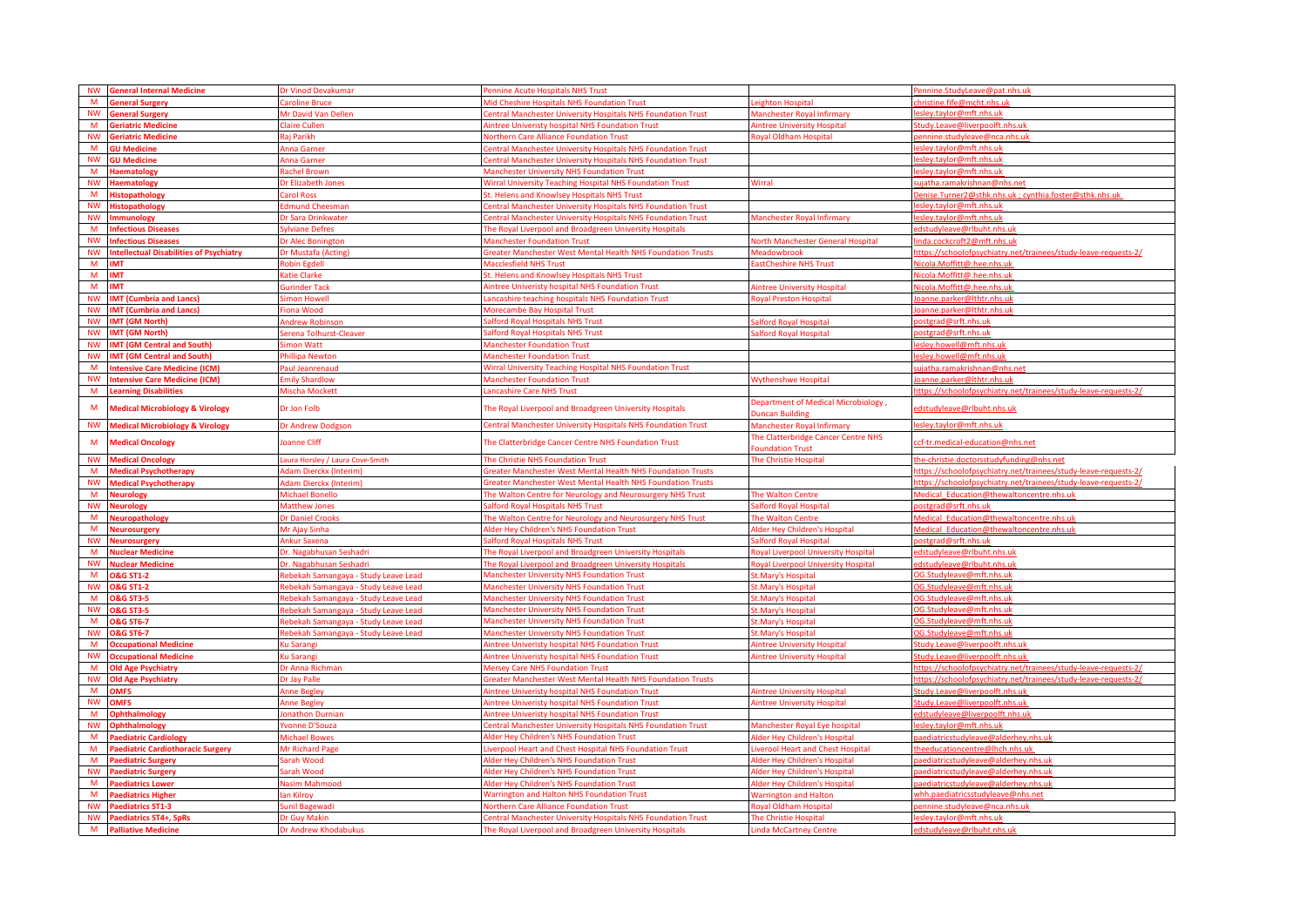|                       | <b>General Internal Medicine</b>                      | Or Vinod Devakumar                   | ennine Acute Hospitals NHS Trust                                                                           |                                                                | ennine.StudyLeave@pat.nhs.uk                                               |
|-----------------------|-------------------------------------------------------|--------------------------------------|------------------------------------------------------------------------------------------------------------|----------------------------------------------------------------|----------------------------------------------------------------------------|
|                       | <b>ieneral Surgery</b>                                | aroline Bruce                        | Mid Cheshire Hospitals NHS Foundation Trust                                                                | eighton Hospital                                               | hricting fife@mcht_nhc_u                                                   |
| <b>NW</b>             | <b>General Surgery</b>                                | Mr David Van Dellen                  | <b>Central Manchester University Hospitals NHS Foundation Trust</b>                                        | Manchester Royal Infirmary                                     | esley.taylor@mft.nhs.uk                                                    |
| M                     | <b>Geriatric Medicine</b>                             | Claire Cullen                        | <b>Nintree Univeristy hospital NHS Foundation Trust</b>                                                    | <b>Aintree University Hospital</b>                             | tudy.Leave@liverpoolft.nhs.uk                                              |
| <b>NW</b>             | <b>Geriatric Medicine</b>                             | <b>Rai Parikh</b>                    | <b>Northern Care Alliance Foundation Trust</b>                                                             | oyal Oldham Hospital                                           | ennine.studyleave@nca.nhs.ul                                               |
| M                     | <b>GU Medicine</b>                                    | Anna Garner                          | Central Manchester University Hospitals NHS Foundation Trust                                               |                                                                | esley.taylor@mft.nhs.uk                                                    |
| <b>NW</b>             | <b>GU Medicine</b>                                    | Anna Garner                          | Central Manchester University Hospitals NHS Foundation Trust                                               |                                                                | esley.taylor@mft.nhs.uk                                                    |
| M                     | <b>Haematology</b>                                    | achel Brown                          | <b>Manchester University NHS Foundation Trust</b>                                                          |                                                                | slev.tavlor@mft.nhs.uk                                                     |
| <b>NW</b>             | <b>Haematology</b>                                    | <b>Ir Elizabeth Jones</b>            | Wirral University Teaching Hospital NHS Foundation Trust                                                   | Wirral                                                         | iatha.ramakrishnan@nhs.net                                                 |
| M                     | <b>Histopathology</b>                                 | Carol Ross                           | St. Helens and Knowlsey Hospitals NHS Trust                                                                |                                                                |                                                                            |
| <b>NW</b>             | <b>Histopathology</b>                                 | dmund Cheesman                       | Central Manchester University Hospitals NHS Foundation Trust                                               |                                                                | esley.taylor@mft.nhs.uk                                                    |
| <b>NW</b>             | <b>Immunology</b>                                     | <b>Ir Sara Drinkwater</b>            | entral Manchester University Hospitals NHS Foundation Trust                                                | Manchester Royal Infirmary                                     | sley.taylor@mft.nhs.uk                                                     |
| <b>M</b>              | <b>Infectious Diseases</b>                            | sylviane Defres                      | The Royal Liverpool and Broadgreen University Hospitals                                                    |                                                                | dstudyleave@rlbuht.nhs.uk                                                  |
| <b>NW</b>             | <b>Infectious Diseases</b>                            | Or Alec Bonington                    | <b>Manchester Foundation Trust</b>                                                                         | North Manchester General Hospital                              | inda.cockcroft2@mft.nhs.uk                                                 |
| <b>NW</b>             | <b>Intellectual Disabilities of Psychiatry</b>        | Or Mustafa (Acting)                  | <b>Sreater Manchester West Mental Health NHS Foundation Trusts</b>                                         | Meadowbrook                                                    | /ttps://schoolofpsychiatry.net/trainees/study-leave-requests-2             |
| M                     | <b>IMT</b>                                            | obin Egdell                          | Macclesfield NHS Trust                                                                                     | astCheshire NHS Trust                                          | licola.Moffitt@.hee.nhs.uk                                                 |
| M <sub>1</sub>        | <b>IMT</b>                                            | <b>Catie Clarke</b>                  | St. Helens and Knowlsey Hospitals NHS Trust                                                                |                                                                | Vicola.Moffitt@.hee.nhs.uk                                                 |
| M                     | <b>IMT</b>                                            | <b>Surinder Tack</b>                 | <b>Nintree Univeristy hospital NHS Foundation Trust</b>                                                    | <b>Nintree University Hospital</b>                             | licola.Moffitt@.hee.nhs.uk                                                 |
| <b>NW</b>             | <b>IMT (Cumbria and Lancs)</b>                        | imon Howell                          | Lancashire teaching hospitals NHS Foundation Trust                                                         | oyal Preston Hospital                                          | oanne.parker@Ithtr.nhs.uk                                                  |
|                       | <b>NW</b> IMT (Cumbria and Lancs)                     | iona Wood                            | Morecambe Bay Hospital Trust                                                                               |                                                                | oanne.parker@lthtr.nhs.uk                                                  |
| <b>NW</b>             | <b>IMT (GM North)</b>                                 | <b>Indrew Robinson</b>               | alford Roval Hospitals NHS Trust                                                                           | alford Royal Hospital                                          | osterad@srft.nhs.uk                                                        |
| <b>NW</b>             | <b>IMT (GM North)</b>                                 | erena Tolhurst-Cleaver               | alford Royal Hospitals NHS Trust                                                                           | alford Royal Hospital                                          | ostgrad@srft.nhs.uk                                                        |
| <b>NW</b>             | <b>IMT (GM Central and South)</b>                     | imon Watt                            | Manchester Foundation Trust                                                                                |                                                                | sley.howell@mft.nhs.ul                                                     |
| <b>NW</b>             | <b>IMT (GM Central and South)</b>                     | hillipa Newton                       | <b>Manchester Foundation Trust</b>                                                                         |                                                                | esley.howell@mft.nhs.uk                                                    |
| M                     | <b>Intensive Care Medicine (ICM)</b>                  | aul Jeanrenaud                       | <b>Nirral University Teaching Hospital NHS Foundation Trust</b>                                            |                                                                | ujatha.ramakrishnan@nhs.ne                                                 |
| <b>NW</b>             | <b>Intensive Care Medicine (ICM)</b>                  | mily Shardlow                        | <b>Manchester Foundation Trust</b>                                                                         | <b>Wythenshwe Hospital</b>                                     | oanne.parker@lthtr.nhs.uk                                                  |
| M                     | <b>Learning Disabilities</b>                          | Mischa Mockett                       | ancashire Care NHS Trust                                                                                   |                                                                | https://schoolofpsychiatry.net/trainees/study-leave-requests-2/            |
| M                     | <b>Medical Microbiology &amp; Virology</b>            | Dr Jon Folb                          | The Royal Liverpool and Broadgreen University Hospitals                                                    | , Department of Medical Microbiology<br>uncan Building         | edstudyleave@rlbuht.nhs.uk                                                 |
| <b>NW</b>             | <b>Medical Microbiology &amp; Virology</b>            | Or Andrew Dodgson                    | Central Manchester University Hospitals NHS Foundation Trust                                               | <b>Manchester Royal Infirmary</b>                              | esley.taylor@mft.nhs.uk                                                    |
| м                     | <b>Medical Oncology</b>                               | Joanne Cliff                         | The Clatterbridge Cancer Centre NHS Foundation Trust                                                       | The Clatterbridge Cancer Centre NHS<br><b>oundation Trust</b>  | ccf-tr.medical-education@nhs.net                                           |
| <b>NW</b>             | <b>Medical Oncology</b>                               | aura Horsley / Laura Cove-Smith      | The Christie NHS Foundation Trust                                                                          | The Christie Hospital                                          | he-christie.doctorsstudyfunding@nhs.net                                    |
| M                     | <b>Medical Psychotherapy</b>                          | Adam Dierckx (Interim)               | <b>Greater Manchester West Mental Health NHS Foundation Trusts</b>                                         |                                                                | https://schoolofpsychiatry.net/trainees/study-leave-requests-2/            |
| <b>NW</b>             | <b>Medical Psychotherapy</b>                          | <b>Idam Dierckx (Interim)</b>        | <b>Sreater Manchester West Mental Health NHS Foundation Trusts</b>                                         |                                                                | ttps://schoolofpsychiatry.net/trainees/study-leave-requests-2/             |
| M                     | <b>Neurology</b>                                      | <b>Aichael Bonello</b>               | The Walton Centre for Neurology and Neurosurgery NHS Trust                                                 | The Walton Centre                                              | Aedical_Education@thewaltoncentre.nhs.uk                                   |
| <b>NW</b>             | <b>Neurology</b>                                      | <b>Matthew Jones</b>                 | <b>Salford Roval Hospitals NHS Trust</b>                                                                   | alford Roval Hospital                                          | ostgrad@srft.nhs.uk                                                        |
| M                     | <b>Jeuropathology</b>                                 | Or Daniel Crooks                     | The Walton Centre for Neurology and Neurosurgery NHS Trust                                                 | The Walton Centre                                              | Aedical Education@thewaltoncentre.nhs.uk                                   |
| M                     | Neurosurgery                                          | <b>Mr Ajay Sinha</b>                 | <b>Alder Hey Children's NHS Foundation Trust</b>                                                           | Alder Hey Children's Hospital                                  | Aedical Education@thewaltoncentre.nhs.uk                                   |
| <b>NW</b>             | <b>Neurosurgery</b>                                   | Ankur Saxena                         | Salford Royal Hospitals NHS Trust                                                                          | alford Royal Hospital                                          | ostgrad@srft.nhs.uk                                                        |
| M                     | <b>Nuclear Medicine</b>                               | Dr. Nagabhusan Seshadri              | The Royal Liverpool and Broadgreen University Hospitals                                                    | <b>Royal Liverpool University Hospital</b>                     | edstudyleave@rlbuht.nhs.uk                                                 |
| <b>NW</b>             | <b>Nuclear Medicine</b>                               | <b>Ir. Nagabhusan Seshadri</b>       | The Roval Liverpool and Broadgreen University Hospitals                                                    | oyal Liverpool University Hospital                             | dstudyleave@rlbuht.nhs.uk                                                  |
| <b>M</b>              | <b>O&amp;G ST1-2</b>                                  | Rebekah Samangaya - Study Leave Lead | Manchester University NHS Foundation Trust                                                                 | St.Mary's Hospital                                             | G.Studyleave@mft.nhs.uk                                                    |
| <b>NW</b>             | <b>O&amp;G ST1-2</b>                                  | tebekah Samangaya - Study Leave Lead | Manchester University NHS Foundation Trust                                                                 | St.Mary's Hospital                                             | G.Studyleave@mft.nhs.uk                                                    |
| M                     | <b>O&amp;G ST3-5</b>                                  | Rebekah Samangaya - Study Leave Lead | Manchester University NHS Foundation Trust                                                                 | St.Mary's Hospital                                             | G.Studyleave@mft.nhs.uk                                                    |
| <b>NW</b>             | <b>O&amp;G ST3-5</b>                                  | tebekah Samangaya - Study Leave Lead | Manchester University NHS Foundation Trust                                                                 | St.Mary's Hospital                                             | G.Studyleave@mft.nhs.uk                                                    |
| M                     | <b>O&amp;G ST6-7</b>                                  | Rebekah Samangaya - Study Leave Lead | Manchester University NHS Foundation Trust                                                                 | St.Mary's Hospital                                             | 0G.Studyleave@mft.nhs.uk                                                   |
| <b>NW</b>             | <b>O&amp;G ST6-7</b>                                  | lebekah Samangaya - Study Leave Lead | Manchester University NHS Foundation Trust                                                                 | St.Mary's Hospital                                             | 0G.Studyleave@mft.nhs.uk                                                   |
| м                     | <b>Occupational Medicine</b>                          | u Sarang                             | intree Univeristy hospital NHS Foundation Trust                                                            | <b>Nintree University Hospital</b>                             | tudy.Leave@liverpoolft.nhs.uk                                              |
| <b>NW</b>             | <b>Occupational Medicine</b>                          | <b>Cu Sarangi</b>                    | <b>Nintree Univeristy hospital NHS Foundation Trust</b>                                                    | <b>Aintree University Hospital</b>                             | tudy.Leave@liverpoolft.nhs.uk                                              |
| M                     | <b>Old Age Psychiatry</b>                             | Or Anna Richman                      | <b>Mersey Care NHS Foundation Trust</b>                                                                    |                                                                | /ttps://schoolofpsychiatry.net/trainees/study-leave-requests-2             |
| <b>NW</b>             | <b>Old Age Psychiatry</b>                             | Dr Jay Palle                         | <b>Greater Manchester West Mental Health NHS Foundation Trusts</b>                                         |                                                                | https://schoolofpsychiatry.net/trainees/study-leave-requests-2/            |
| <b>M</b><br><b>NW</b> | <b>OMFS</b>                                           | Anne Begley<br><b>Inne Regier</b>    | <b>Nintree Univeristy hospital NHS Foundation Trust</b><br>intree Univeristy hospital NHS Foundation Trust | <b>Aintree University Hospital</b>                             | tudy.Leave@liverpoolft.nhs.uk                                              |
|                       | <b>OMFS</b>                                           |                                      |                                                                                                            | <b>Aintree University Hospital</b>                             | tudy.Leave@liverpoolft.nhs.uk                                              |
| M                     | <b>Ophthalmology</b>                                  | <b>Diathon Durnian</b>               | intree Univeristy hospital NHS Foundation Trust                                                            |                                                                | dstudyleave@liverpoolft.nhs.ul                                             |
| <b>NW</b>             | <b>Ophthalmology</b>                                  | vonne D'Souza                        | entral Manchester University Hospitals NHS Foundation Trust                                                | Manchester Royal Eye hospital                                  | sley.taylor@mft.nhs.uk                                                     |
| M<br>M                | <b>Paediatric Cardiology</b>                          | <b>Aichael Bowes</b>                 | <b>Nder Hey Children's NHS Foundation Trust</b>                                                            | Alder Hey Children's Hospital                                  | aediatricstudyleave@alderhey.nhs.uk<br>heeducationcentre@lhch.nhs.uk       |
|                       | <b>Paediatric Cardiothoracic Surgery</b>              | <b>Mr Richard Page</b>               | iverpool Heart and Chest Hospital NHS Foundation Trust                                                     | iverool Heart and Chest Hospita                                |                                                                            |
| <b>M</b>              | <b>Paediatric Surgery</b>                             | Sarah Wood                           | Ider Hey Children's NHS Foundation Trust                                                                   | Alder Hey Children's Hospital                                  | aediatricstudyleave@alderhey.nhs.uk                                        |
| <b>NW</b><br>M        | <b>Paediatric Surgery</b>                             | Sarah Wood<br>Jasim Mahmood          | Ider Hey Children's NHS Foundation Trust<br>Ider Hey Children's NHS Foundation Trust                       | Alder Hey Children's Hospital<br>Alder Hey Children's Hospital | aediatricstudyleave@alderhey.nhs.uk<br>aediatricstudyleave@alderhey.nhs.uk |
| M                     | <b>Paediatrics Lower</b><br><b>Paediatrics Higher</b> | an Kilroy                            | <b>Narrington and Halton NHS Foundation Trust</b>                                                          | <b>Narrington and Halton</b>                                   | whh.paediatricsstudyleave@nhs.net                                          |
| <b>NW</b>             | <b>Paediatrics ST1-3</b>                              | unil Bagewadi                        | <b>Northern Care Alliance Foundation Trust</b>                                                             | Royal Oldham Hospital                                          | ennine.studyleave@nca.nhs.uk                                               |
| <b>NW</b>             | <b>Paediatrics ST4+, SpRs</b>                         | <b>Dr Guy Makin</b>                  | <b>Central Manchester University Hospitals NHS Foundation Trust</b>                                        | <b>The Christie Hospital</b>                                   | esley.taylor@mft.nhs.uk                                                    |
| <b>M</b>              | <b>Palliative Medicine</b>                            | Dr Andrew Khodabukus                 | The Royal Liverpool and Broadgreen University Hospitals                                                    | Linda McCartney Centre                                         | edstudyleave@rlbuht.nhs.uk                                                 |
|                       |                                                       |                                      |                                                                                                            |                                                                |                                                                            |